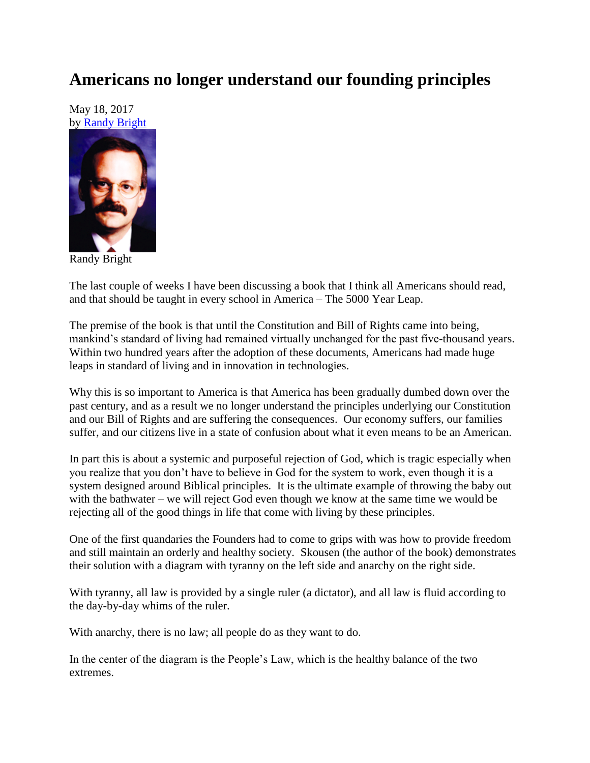## **Americans no longer understand our founding principles**

May 18, 2017 by [Randy Bright](http://tulsabeacon.com/writers/randy-bright/)



Randy Bright

The last couple of weeks I have been discussing a book that I think all Americans should read, and that should be taught in every school in America – The 5000 Year Leap.

The premise of the book is that until the Constitution and Bill of Rights came into being, mankind's standard of living had remained virtually unchanged for the past five-thousand years. Within two hundred years after the adoption of these documents, Americans had made huge leaps in standard of living and in innovation in technologies.

Why this is so important to America is that America has been gradually dumbed down over the past century, and as a result we no longer understand the principles underlying our Constitution and our Bill of Rights and are suffering the consequences. Our economy suffers, our families suffer, and our citizens live in a state of confusion about what it even means to be an American.

In part this is about a systemic and purposeful rejection of God, which is tragic especially when you realize that you don't have to believe in God for the system to work, even though it is a system designed around Biblical principles. It is the ultimate example of throwing the baby out with the bathwater – we will reject God even though we know at the same time we would be rejecting all of the good things in life that come with living by these principles.

One of the first quandaries the Founders had to come to grips with was how to provide freedom and still maintain an orderly and healthy society. Skousen (the author of the book) demonstrates their solution with a diagram with tyranny on the left side and anarchy on the right side.

With tyranny, all law is provided by a single ruler (a dictator), and all law is fluid according to the day-by-day whims of the ruler.

With anarchy, there is no law; all people do as they want to do.

In the center of the diagram is the People's Law, which is the healthy balance of the two extremes.